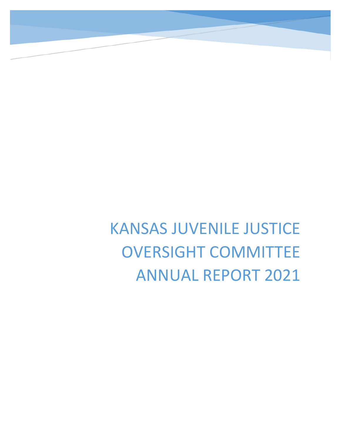KANSAS JUVENILE JUSTICE OVERSIGHT COMMITTEE ANNUAL REPORT 2021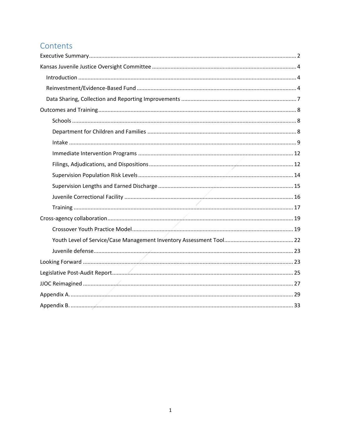# Contents

<span id="page-1-0"></span>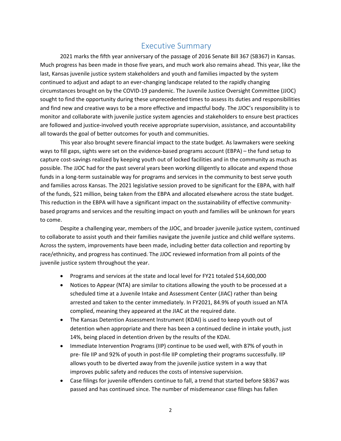# Executive Summary

2021 marks the fifth year anniversary of the passage of 2016 Senate Bill 367 (SB367) in Kansas. Much progress has been made in those five years, and much work also remains ahead. This year, like the last, Kansas juvenile justice system stakeholders and youth and families impacted by the system continued to adjust and adapt to an ever-changing landscape related to the rapidly changing circumstances brought on by the COVID-19 pandemic. The Juvenile Justice Oversight Committee (JJOC) sought to find the opportunity during these unprecedented times to assess its duties and responsibilities and find new and creative ways to be a more effective and impactful body. The JJOC's responsibility is to monitor and collaborate with juvenile justice system agencies and stakeholders to ensure best practices are followed and justice-involved youth receive appropriate supervision, assistance, and accountability all towards the goal of better outcomes for youth and communities.

This year also brought severe financial impact to the state budget. As lawmakers were seeking ways to fill gaps, sights were set on the evidence-based programs account (EBPA) – the fund setup to capture cost-savings realized by keeping youth out of locked facilities and in the community as much as possible. The JJOC had for the past several years been working diligently to allocate and expend those funds in a long-term sustainable way for programs and services in the community to best serve youth and families across Kansas. The 2021 legislative session proved to be significant for the EBPA, with half of the funds, \$21 million, being taken from the EBPA and allocated elsewhere across the state budget. This reduction in the EBPA will have a significant impact on the sustainability of effective communitybased programs and services and the resulting impact on youth and families will be unknown for years to come.

Despite a challenging year, members of the JJOC, and broader juvenile justice system, continued to collaborate to assist youth and their families navigate the juvenile justice and child welfare systems. Across the system, improvements have been made, including better data collection and reporting by race/ethnicity, and progress has continued. The JJOC reviewed information from all points of the juvenile justice system throughout the year.

- Programs and services at the state and local level for FY21 totaled \$14,600,000
- Notices to Appear (NTA) are similar to citations allowing the youth to be processed at a scheduled time at a Juvenile Intake and Assessment Center (JIAC) rather than being arrested and taken to the center immediately. In FY2021, 84.9% of youth issued an NTA complied, meaning they appeared at the JIAC at the required date.
- The Kansas Detention Assessment Instrument (KDAI) is used to keep youth out of detention when appropriate and there has been a continued decline in intake youth, just 14%, being placed in detention driven by the results of the KDAI.
- Immediate Intervention Programs (IIP) continue to be used well, with 87% of youth in pre- file IIP and 92% of youth in post-file IIP completing their programs successfully. IIP allows youth to be diverted away from the juvenile justice system in a way that improves public safety and reduces the costs of intensive supervision.
- Case filings for juvenile offenders continue to fall, a trend that started before SB367 was passed and has continued since. The number of misdemeanor case filings has fallen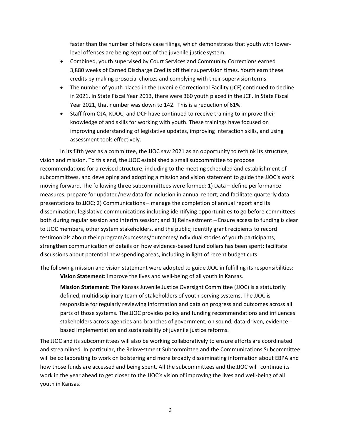faster than the number of felony case filings, which demonstrates that youth with lowerlevel offenses are being kept out of the juvenile justice system.

- Combined, youth supervised by Court Services and Community Corrections earned 3,880 weeks of Earned Discharge Credits off their supervision times. Youth earn these credits by making prosocial choices and complying with their supervisionterms.
- The number of youth placed in the Juvenile Correctional Facility (JCF) continued to decline in 2021. In State Fiscal Year 2013, there were 360 youth placed in the JCF. In State Fiscal Year 2021, that number was down to 142. This is a reduction of61%.
- Staff from OJA, KDOC, and DCF have continued to receive training to improve their knowledge of and skills for working with youth. These trainings have focused on improving understanding of legislative updates, improving interaction skills, and using assessment tools effectively.

In its fifth year as a committee, the JJOC saw 2021 as an opportunity to rethink its structure, vision and mission. To this end, the JJOC established a small subcommittee to propose recommendations for a revised structure, including to the meeting scheduled and establishment of subcommittees, and developing and adopting a mission and vision statement to guide the JJOC's work moving forward. The following three subcommittees were formed: 1) Data – define performance measures; prepare for updated/new data for inclusion in annual report; and facilitate quarterly data presentations to JJOC; 2) Communications – manage the completion of annual report and its dissemination; legislative communications including identifying opportunities to go before committees both during regular session and interim session; and 3) Reinvestment – Ensure access to funding is clear to JJOC members, other system stakeholders, and the public; identify grant recipients to record testimonials about their program/successes/outcomes/individual stories of youth participants; strengthen communication of details on how evidence-based fund dollars has been spent; facilitate discussions about potential new spending areas, including in light of recent budget cuts

The following mission and vision statement were adopted to guide JJOC in fulfilling its responsibilities: **Vision Statement:** Improve the lives and well-being of all youth in Kansas.

**Mission Statement:** The Kansas Juvenile Justice Oversight Committee (JJOC) is a statutorily defined, multidisciplinary team of stakeholders of youth-serving systems. The JJOC is responsible for regularly reviewing information and data on progress and outcomes across all parts of those systems. The JJOC provides policy and funding recommendations and influences stakeholders across agencies and branches of government, on sound, data-driven, evidencebased implementation and sustainability of juvenile justice reforms.

The JJOC and its subcommittees will also be working collaboratively to ensure efforts are coordinated and streamlined. In particular, the Reinvestment Subcommittee and the Communications Subcommittee will be collaborating to work on bolstering and more broadly disseminating information about EBPA and how those funds are accessed and being spent. All the subcommittees and the JJOC will continue its work in the year ahead to get closer to the JJOC's vision of improving the lives and well-being of all youth in Kansas.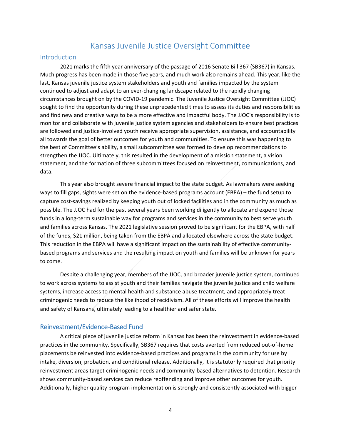# Kansas Juvenile Justice Oversight Committee

#### <span id="page-4-1"></span><span id="page-4-0"></span>Introduction

2021 marks the fifth year anniversary of the passage of 2016 Senate Bill 367 (SB367) in Kansas. Much progress has been made in those five years, and much work also remains ahead. This year, like the last, Kansas juvenile justice system stakeholders and youth and families impacted by the system continued to adjust and adapt to an ever-changing landscape related to the rapidly changing circumstances brought on by the COVID-19 pandemic. The Juvenile Justice Oversight Committee (JJOC) sought to find the opportunity during these unprecedented times to assess its duties and responsibilities and find new and creative ways to be a more effective and impactful body. The JJOC's responsibility is to monitor and collaborate with juvenile justice system agencies and stakeholders to ensure best practices are followed and justice-involved youth receive appropriate supervision, assistance, and accountability all towards the goal of better outcomes for youth and communities. To ensure this was happening to the best of Committee's ability, a small subcommittee was formed to develop recommendations to strengthen the JJOC. Ultimately, this resulted in the development of a mission statement, a vision statement, and the formation of three subcommittees focused on reinvestment, communications, and data.

This year also brought severe financial impact to the state budget. As lawmakers were seeking ways to fill gaps, sights were set on the evidence-based programs account (EBPA) – the fund setup to capture cost-savings realized by keeping youth out of locked facilities and in the community as much as possible. The JJOC had for the past several years been working diligently to allocate and expend those funds in a long-term sustainable way for programs and services in the community to best serve youth and families across Kansas. The 2021 legislative session proved to be significant for the EBPA, with half of the funds, \$21 million, being taken from the EBPA and allocated elsewhere across the state budget. This reduction in the EBPA will have a significant impact on the sustainability of effective communitybased programs and services and the resulting impact on youth and families will be unknown for years to come.

Despite a challenging year, members of the JJOC, and broader juvenile justice system, continued to work across systems to assist youth and their families navigate the juvenile justice and child welfare systems, increase access to mental health and substance abuse treatment, and appropriately treat criminogenic needs to reduce the likelihood of recidivism. All of these efforts will improve the health and safety of Kansans, ultimately leading to a healthier and safer state.

#### <span id="page-4-2"></span>Reinvestment/Evidence-Based Fund

A critical piece of juvenile justice reform in Kansas has been the reinvestment in evidence-based practices in the community. Specifically, SB367 requires that costs averted from reduced out-of-home placements be reinvested into evidence-based practices and programs in the community for use by intake, diversion, probation, and conditional release. Additionally, it is statutorily required that priority reinvestment areas target criminogenic needs and community-based alternatives to detention. Research shows community-based services can reduce reoffending and improve other outcomes for youth. Additionally, higher quality program implementation is strongly and consistently associated with bigger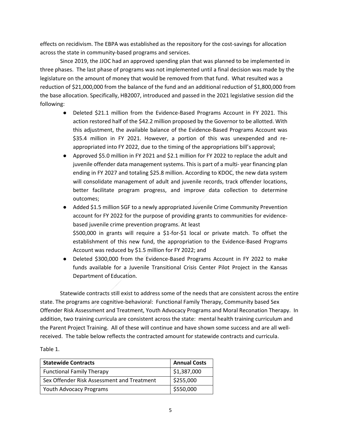effects on recidivism. The EBPA was established as the repository for the cost-savings for allocation across the state in community-based programs and services.

Since 2019, the JJOC had an approved spending plan that was planned to be implemented in three phases. The last phase of programs was not implemented until a final decision was made by the legislature on the amount of money that would be removed from that fund. What resulted was a reduction of \$21,000,000 from the balance of the fund and an additional reduction of \$1,800,000 from the base allocation. Specifically, HB2007, introduced and passed in the 2021 legislative session did the following:

- Deleted \$21.1 million from the Evidence-Based Programs Account in FY 2021. This action restored half of the \$42.2 million proposed by the Governor to be allotted. With this adjustment, the available balance of the Evidence-Based Programs Account was \$35.4 million in FY 2021. However, a portion of this was unexpended and reappropriated into FY 2022, due to the timing of the appropriations bill's approval;
- Approved \$5.0 million in FY 2021 and \$2.1 million for FY 2022 to replace the adult and juvenile offender data management systems. This is part of a multi- year financing plan ending in FY 2027 and totaling \$25.8 million. According to KDOC, the new data system will consolidate management of adult and juvenile records, track offender locations, better facilitate program progress, and improve data collection to determine outcomes;
- Added \$1.5 million SGF to a newly appropriated Juvenile Crime Community Prevention account for FY 2022 for the purpose of providing grants to communities for evidencebased juvenile crime prevention programs. At least \$500,000 in grants will require a \$1-for-\$1 local or private match. To offset the establishment of this new fund, the appropriation to the Evidence-Based Programs Account was reduced by \$1.5 million for FY 2022; and
- Deleted \$300,000 from the Evidence-Based Programs Account in FY 2022 to make funds available for a Juvenile Transitional Crisis Center Pilot Project in the Kansas Department of Education.

Statewide contracts still exist to address some of the needs that are consistent across the entire state. The programs are cognitive-behavioral: Functional Family Therapy, Community based Sex Offender Risk Assessment and Treatment, Youth Advocacy Programs and Moral Reconation Therapy. In addition, two training curricula are consistent across the state: mental health training curriculum and the Parent Project Training. All of these will continue and have shown some success and are all wellreceived. The table below reflects the contracted amount for statewide contracts and curricula.

Table 1.

| <b>Statewide Contracts</b>                 | <b>Annual Costs</b> |
|--------------------------------------------|---------------------|
| <b>Functional Family Therapy</b>           | \$1,387,000         |
| Sex Offender Risk Assessment and Treatment | \$255,000           |
| <b>Youth Advocacy Programs</b>             | \$550,000           |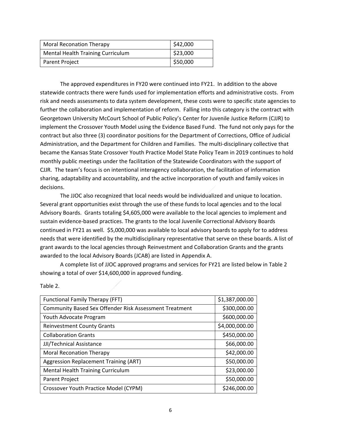| <b>Moral Reconation Therapy</b>          | \$42,000 |
|------------------------------------------|----------|
| <b>Mental Health Training Curriculum</b> | \$23,000 |
| Parent Project                           | \$50,000 |

The approved expenditures in FY20 were continued into FY21. In addition to the above statewide contracts there were funds used for implementation efforts and administrative costs. From risk and needs assessments to data system development, these costs were to specific state agencies to further the collaboration and implementation of reform. Falling into this category is the contract with Georgetown University McCourt School of Public Policy's Center for Juvenile Justice Reform (CJJR) to implement the Crossover Youth Model using the Evidence Based Fund. The fund not only pays for the contract but also three (3) coordinator positions for the Department of Corrections, Office of Judicial Administration, and the Department for Children and Families. The multi-disciplinary collective that became the Kansas State Crossover Youth Practice Model State Policy Team in 2019 continues to hold monthly public meetings under the facilitation of the Statewide Coordinators with the support of CJJR. The team's focus is on intentional interagency collaboration, the facilitation of information sharing, adaptability and accountability, and the active incorporation of youth and family voices in decisions.

The JJOC also recognized that local needs would be individualized and unique to location. Several grant opportunities exist through the use of these funds to local agencies and to the local Advisory Boards. Grants totaling \$4,605,000 were available to the local agencies to implement and sustain evidence-based practices. The grants to the local Juvenile Correctional Advisory Boards continued in FY21 as well. \$5,000,000 was available to local advisory boards to apply for to address needs that were identified by the multidisciplinary representative that serve on these boards. A list of grant awards to the local agencies through Reinvestment and Collaboration Grants and the grants awarded to the local Advisory Boards (JCAB) are listed in Appendix A.

A complete list of JJOC approved programs and services for FY21 are listed below in Table 2 showing a total of over \$14,600,000 in approved funding.

| <b>Functional Family Therapy (FFT)</b>                        | \$1,387,000.00 |
|---------------------------------------------------------------|----------------|
| <b>Community Based Sex Offender Risk Assessment Treatment</b> | \$300,000.00   |
| Youth Advocate Program                                        | \$600,000.00   |
| <b>Reinvestment County Grants</b>                             | \$4,000,000.00 |
| <b>Collaboration Grants</b>                                   | \$450,000.00   |
| JJI/Technical Assistance                                      | \$66,000.00    |
| <b>Moral Reconation Therapy</b>                               | \$42,000.00    |
| <b>Aggression Replacement Training (ART)</b>                  | \$50,000.00    |
| Mental Health Training Curriculum                             | \$23,000.00    |
| <b>Parent Project</b>                                         | \$50,000.00    |
| Crossover Youth Practice Model (CYPM)                         | \$246,000.00   |

Table 2.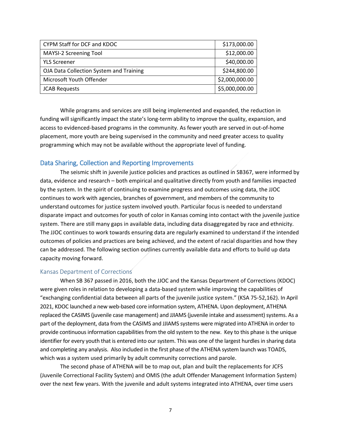| CYPM Staff for DCF and KDOC             | \$173,000.00   |
|-----------------------------------------|----------------|
| MAYSI-2 Screening Tool                  | \$12,000.00    |
| <b>YLS Screener</b>                     | \$40,000.00    |
| OJA Data Collection System and Training | \$244,800.00   |
| Microsoft Youth Offender                | \$2,000,000.00 |
| <b>JCAB Requests</b>                    | \$5,000,000.00 |

While programs and services are still being implemented and expanded, the reduction in funding will significantly impact the state's long-term ability to improve the quality, expansion, and access to evidenced-based programs in the community. As fewer youth are served in out-of-home placement, more youth are being supervised in the community and need greater access to quality programming which may not be available without the appropriate level of funding.

#### <span id="page-7-0"></span>Data Sharing, Collection and Reporting Improvements

The seismic shift in juvenile justice policies and practices as outlined in SB367, were informed by data, evidence and research – both empirical and qualitative directly from youth and families impacted by the system. In the spirit of continuing to examine progress and outcomes using data, the JJOC continues to work with agencies, branches of government, and members of the community to understand outcomes for justice system involved youth. Particular focus is needed to understand disparate impact and outcomes for youth of color in Kansas coming into contact with the juvenile justice system. There are still many gaps in available data, including data disaggregated by race and ethnicity. The JJOC continues to work towards ensuring data are regularly examined to understand if the intended outcomes of policies and practices are being achieved, and the extent of racial disparities and how they can be addressed. The following section outlines currently available data and efforts to build up data capacity moving forward.

#### Kansas Department of Corrections

When SB 367 passed in 2016, both the JJOC and the Kansas Department of Corrections (KDOC) were given roles in relation to developing a data-based system while improving the capabilities of "exchanging confidential data between all parts of the juvenile justice system." (KSA 75-52,162). In April 2021, KDOC launched a new web-based core information system, ATHENA. Upon deployment, ATHENA replaced the CASIMS (juvenile case management) and JJIAMS (juvenile intake and assessment) systems. As a part of the deployment, data from the CASIMS and JJIAMS systems were migrated into ATHENA in order to provide continuous information capabilities from the old system to the new. Key to this phase is the unique identifier for every youth that is entered into our system. This was one of the largest hurdles in sharing data and completing any analysis. Also included in the first phase of the ATHENA system launch was TOADS, which was a system used primarily by adult community corrections and parole.

The second phase of ATHENA will be to map out, plan and built the replacements for JCFS (Juvenile Correctional Facility System) and OMIS (the adult Offender Management Information System) over the next few years. With the juvenile and adult systems integrated into ATHENA, over time users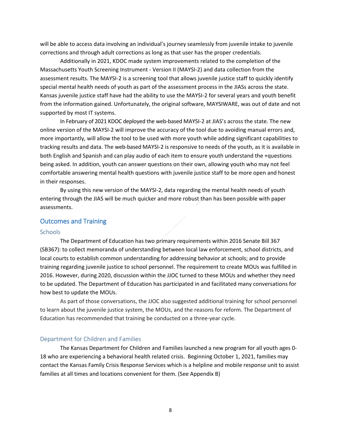will be able to access data involving an individual's journey seamlessly from juvenile intake to juvenile corrections and through adult corrections as long as that user has the proper credentials.

Additionally in 2021, KDOC made system improvements related to the completion of the Massachusetts Youth Screening Instrument - Version II (MAYSI-2) and data collection from the assessment results. The MAYSI-2 is a screening tool that allows juvenile justice staff to quickly identify special mental health needs of youth as part of the assessment process in the JIASs across the state. Kansas juvenile justice staff have had the ability to use the MAYSI-2 for several years and youth benefit from the information gained. Unfortunately, the original software, MAYSIWARE, was out of date and not supported by most IT systems.

In February of 2021 KDOC deployed the web-based MAYSI-2 at JIAS's across the state. The new online version of the MAYSI-2 will improve the accuracy of the tool due to avoiding manual errors and, more importantly, will allow the tool to be used with more youth while adding significant capabilities to tracking results and data. The web-based MAYSI-2 is responsive to needs of the youth, as it is available in both English and Spanish and can play audio of each item to ensure youth understand the +questions being asked. In addition, youth can answer questions on their own, allowing youth who may not feel comfortable answering mental health questions with juvenile justice staff to be more open and honest in their responses.

By using this new version of the MAYSI-2, data regarding the mental health needs of youth entering through the JIAS will be much quicker and more robust than has been possible with paper assessments.

#### <span id="page-8-0"></span>Outcomes and Training

#### <span id="page-8-1"></span>Schools

The Department of Education has two primary requirements within 2016 Senate Bill 367 (SB367): to collect memoranda of understanding between local law enforcement, school districts, and local courts to establish common understanding for addressing behavior at schools; and to provide training regarding juvenile justice to school personnel. The requirement to create MOUs was fulfilled in 2016. However, during 2020, discussion within the JJOC turned to these MOUs and whether they need to be updated. The Department of Education has participated in and facilitated many conversations for how best to update the MOUs.

As part of those conversations, the JJOC also suggested additional training for school personnel to learn about the juvenile justice system, the MOUs, and the reasons for reform. The Department of Education has recommended that training be conducted on a three-year cycle.

#### <span id="page-8-2"></span>Department for Children and Families

The Kansas Department for Children and Families launched a new program for all youth ages 0- 18 who are experiencing a behavioral health related crisis. Beginning October 1, 2021, families may contact the Kansas Family Crisis Response Services which is a helpline and mobile response unit to assist families at all times and locations convenient for them. (See Appendix B)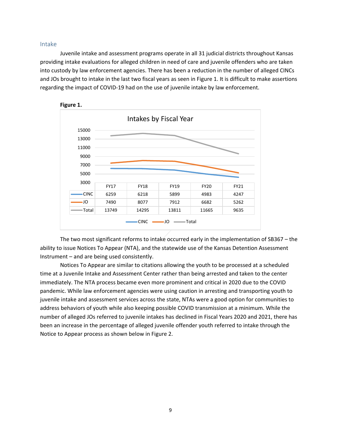#### <span id="page-9-0"></span>Intake

Juvenile intake and assessment programs operate in all 31 judicial districts throughout Kansas providing intake evaluations for alleged children in need of care and juvenile offenders who are taken into custody by law enforcement agencies. There has been a reduction in the number of alleged CINCs and JOs brought to intake in the last two fiscal years as seen in Figure 1. It is difficult to make assertions regarding the impact of COVID-19 had on the use of juvenile intake by law enforcement.



The two most significant reforms to intake occurred early in the implementation of SB367 – the ability to issue Notices To Appear (NTA), and the statewide use of the Kansas Detention Assessment Instrument – and are being used consistently.

Notices To Appear are similar to citations allowing the youth to be processed at a scheduled time at a Juvenile Intake and Assessment Center rather than being arrested and taken to the center immediately. The NTA process became even more prominent and critical in 2020 due to the COVID pandemic. While law enforcement agencies were using caution in arresting and transporting youth to juvenile intake and assessment services across the state, NTAs were a good option for communities to address behaviors of youth while also keeping possible COVID transmission at a minimum. While the number of alleged JOs referred to juvenile intakes has declined in Fiscal Years 2020 and 2021, there has been an increase in the percentage of alleged juvenile offender youth referred to intake through the Notice to Appear process as shown below in Figure 2.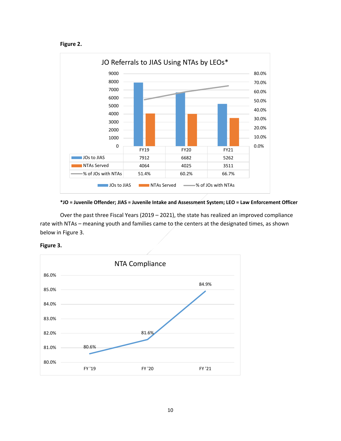



**\*JO = Juvenile Offender; JIAS = Juvenile Intake and Assessment System; LEO = Law Enforcement Officer** 

Over the past three Fiscal Years (2019 – 2021), the state has realized an improved compliance rate with NTAs – meaning youth and families came to the centers at the designated times, as shown below in Figure 3.



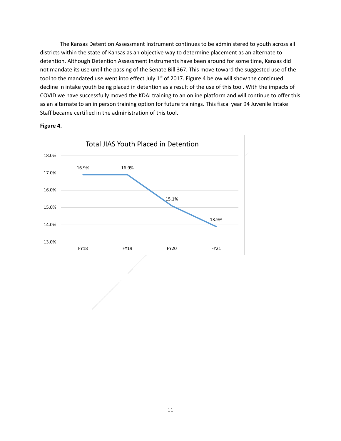The Kansas Detention Assessment Instrument continues to be administered to youth across all districts within the state of Kansas as an objective way to determine placement as an alternate to detention. Although Detention Assessment Instruments have been around for some time, Kansas did not mandate its use until the passing of the Senate Bill 367. This move toward the suggested use of the tool to the mandated use went into effect July 1<sup>st</sup> of 2017. Figure 4 below will show the continued decline in intake youth being placed in detention as a result of the use of this tool. With the impacts of COVID we have successfully moved the KDAI training to an online platform and will continue to offer this as an alternate to an in person training option for future trainings. This fiscal year 94 Juvenile Intake Staff became certified in the administration of this tool.



**Figure 4.**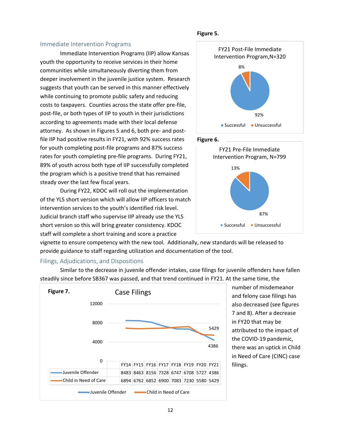#### <span id="page-12-0"></span>Immediate Intervention Programs

Immediate Intervention Programs (IIP) allow Kansas youth the opportunity to receive services in their home communities while simultaneously diverting them from deeper involvement in the juvenile justice system. Research suggests that youth can be served in this manner effectively while continuing to promote public safety and reducing costs to taxpayers. Counties across the state offer pre-file, post-file, or both types of IIP to youth in their jurisdictions according to agreements made with their local defense attorney. As shown in Figures 5 and 6, both pre- and postfile IIP had positive results in FY21, with 92% success rates for youth completing post-file programs and 87% success rates for youth completing pre-file programs. During FY21, 89% of youth across both type of IIP successfully completed the program which is a positive trend that has remained steady over the last few fiscal years.

During FY22, KDOC will roll out the implementation of the YLS short version which will allow IIP officers to match intervention services to the youth's identified risk level. Judicial branch staff who supervise IIP already use the YLS short version so this will bring greater consistency. KDOC staff will complete a short training and score a practice







vignette to ensure competency with the new tool. Additionally, new standards will be released to provide guidance to staff regarding utilization and documentation of the tool.

#### <span id="page-12-1"></span>Filings, Adjudications, and Dispositions

FY14 FY15 FY16 FY17 FY18 FY19 FY20 FY21 Juvenile Offender 8483 8463 8156 7328 6747 6708 5727 4386  $\cdot$ Child in Need of Care 6894 6762 6852 6900 7083 7230 5580 5429 4386 5429 0 4000 8000 12000 Case Filings Juvenile Offender **Child in Need of Care Figure 7.** 

Similar to the decrease in juvenile offender intakes, case filings for juvenile offenders have fallen steadily since before SB367 was passed, and that trend continued in FY21. At the same time, the

> number of misdemeanor and felony case filings has also decreased (see figures 7 and 8). After a decrease in FY20 that may be attributed to the impact of the COVID-19 pandemic, there was an uptick in Child in Need of Care (CINC) case filings.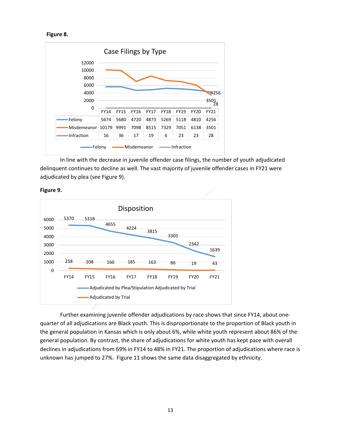```
Figure 8.
```


In line with the decrease in juvenile offender case filings, the number of youth adjudicated delinquent continues to decline as well. The vast majority of juvenile offender cases in FY21 were adjudicated by plea (see Figure 9).



**Figure 9.**

Further examining juvenile offender adjudications by race shows that since FY14, about onequarter of all adjudications are Black youth. This is disproportionate to the proportion of Black youth in the general population in Kansas which is only about 6%, while white youth represent about 86% of the general population. By contrast, the share of adjudications for white youth has kept pace with overall declines in adjudications from 69% in FY14 to 48% in FY21. The proportion of adjudications where race is unknown has jumped to 27%. Figure 11 shows the same data disaggregated by ethnicity.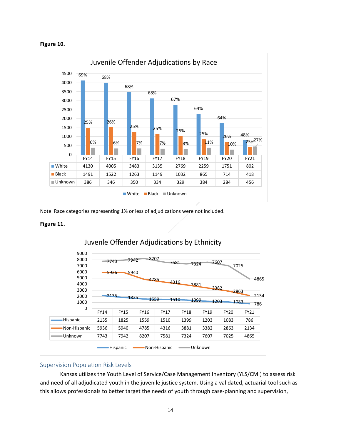



Note: Race categories representing 1% or less of adjudications were not included.

**Figure 11.**



#### <span id="page-14-0"></span>Supervision Population Risk Levels

Kansas utilizes the Youth Level of Service/Case Management Inventory (YLS/CMI) to assess risk and need of all adjudicated youth in the juvenile justice system. Using a validated, actuarial tool such as this allows professionals to better target the needs of youth through case-planning and supervision,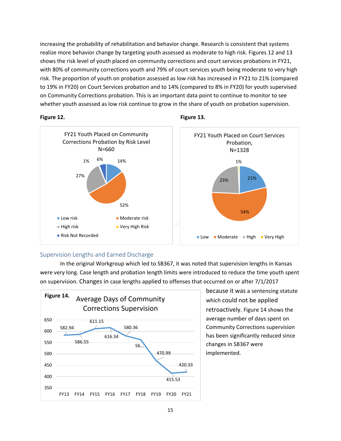increasing the probability of rehabilitation and behavior change. Research is consistent that systems realize more behavior change by targeting youth assessed as moderate to high risk. Figures 12 and 13 shows the risk level of youth placed on community corrections and court services probations in FY21, with 80% of community corrections youth and 79% of court services youth being moderate to very high risk. The proportion of youth on probation assessed as low risk has increased in FY21 to 21% (compared to 19% in FY20) on Court Services probation and to 14% (compared to 8% in FY20) for youth supervised on Community Corrections probation. This is an important data point to continue to monitor to see whether youth assessed as low risk continue to grow in the share of youth on probation supervision.







#### <span id="page-15-0"></span>Supervision Lengths and Earned Discharge

In the original Workgroup which led to SB367, it was noted that supervision lengths in Kansas were very long. Case length and probation length limits were introduced to reduce the time youth spent on supervision. Changes in case lengths applied to offenses that occurred on or after 7/1/2017



because it was a sentencing statute which could not be applied retroactively. Figure 14 shows the average number of days spent on Community Corrections supervision has been significantly reduced since changes in SB367 were implemented.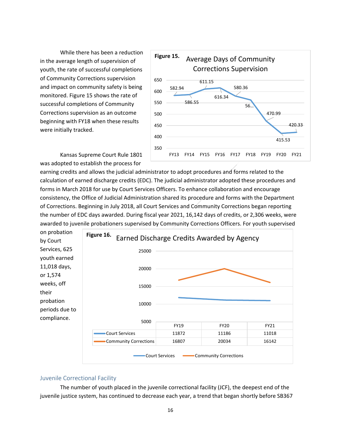While there has been a reduction in the average length of supervision of youth, the rate of successful completions of Community Corrections supervision and impact on community safety is being monitored. Figure 15 shows the rate of successful completions of Community Corrections supervision as an outcome beginning with FY18 when these results were initially tracked.



Kansas Supreme Court Rule 1801 was adopted to establish the process for

earning credits and allows the judicial administrator to adopt procedures and forms related to the calculation of earned discharge credits (EDC). The judicial administrator adopted these procedures and forms in March 2018 for use by Court Services Officers. To enhance collaboration and encourage consistency, the Office of Judicial Administration shared its procedure and forms with the Department of Corrections. Beginning in July 2018, all Court Services and Community Corrections began reporting the number of EDC days awarded. During fiscal year 2021, 16,142 days of credits, or 2,306 weeks, were awarded to juvenile probationers supervised by Community Corrections Officers. For youth supervised



#### <span id="page-16-0"></span>Juvenile Correctional Facility

The number of youth placed in the juvenile correctional facility (JCF), the deepest end of the juvenile justice system, has continued to decrease each year, a trend that began shortly before SB367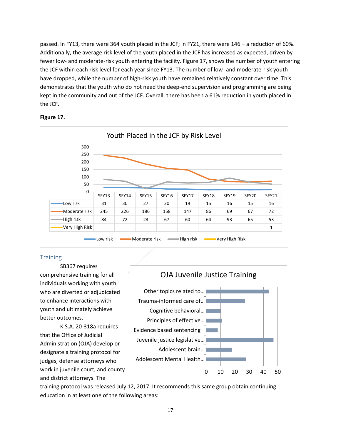passed. In FY13, there were 364 youth placed in the JCF; in FY21, there were 146 – a reduction of 60%. Additionally, the average risk level of the youth placed in the JCF has increased as expected, driven by fewer low- and moderate-risk youth entering the facility. Figure 17, shows the number of youth entering the JCF within each risk level for each year since FY13. The number of low- and moderate-risk youth have dropped, while the number of high-risk youth have remained relatively constant over time. This demonstrates that the youth who do not need the deep-end supervision and programming are being kept in the community and out of the JCF. Overall, there has been a 61% reduction in youth placed in the JCF.





#### <span id="page-17-0"></span>**Training**

SB367 requires comprehensive training for all individuals working with youth who are diverted or adjudicated to enhance interactions with youth and ultimately achieve better outcomes.

K.S.A. 20-318a requires that the Office of Judicial Administration (OJA) develop or designate a training protocol for judges, defense attorneys who work in juvenile court, and county and district attorneys. The



training protocol was released July 12, 2017. It recommends this same group obtain continuing education in at least one of the following areas: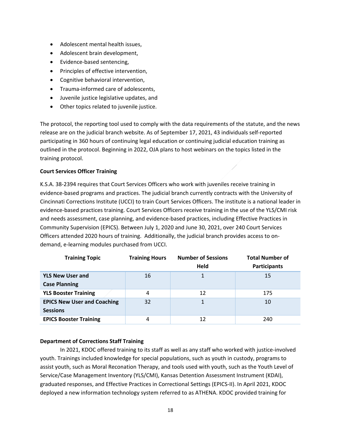- Adolescent mental health issues,
- Adolescent brain development,
- Evidence-based sentencing,
- Principles of effective intervention,
- Cognitive behavioral intervention,
- Trauma-informed care of adolescents,
- Juvenile justice legislative updates, and
- Other topics related to juvenile justice.

The protocol, the reporting tool used to comply with the data requirements of the statute, and the news release are on the judicial branch website. As of September 17, 2021, 43 individuals self-reported participating in 360 hours of continuing legal education or continuing judicial education training as outlined in the protocol. Beginning in 2022, OJA plans to host webinars on the topics listed in the training protocol.

#### **Court Services Officer Training**

K.S.A. 38-2394 requires that Court Services Officers who work with juveniles receive training in evidence-based programs and practices. The judicial branch currently contracts with the University of Cincinnati Corrections Institute (UCCI) to train Court Services Officers. The institute is a national leader in evidence-based practices training. Court Services Officers receive training in the use of the YLS/CMI risk and needs assessment, case planning, and evidence-based practices, including Effective Practices in Community Supervision (EPICS). Between July 1, 2020 and June 30, 2021, over 240 Court Services Officers attended 2020 hours of training. Additionally, the judicial branch provides access to ondemand, e-learning modules purchased from UCCI.

| <b>Training Topic</b>              | <b>Number of Sessions</b><br><b>Training Hours</b> |             | <b>Total Number of</b> |
|------------------------------------|----------------------------------------------------|-------------|------------------------|
|                                    |                                                    | <b>Held</b> | <b>Participants</b>    |
| <b>YLS New User and</b>            | 16                                                 |             | 15                     |
| <b>Case Planning</b>               |                                                    |             |                        |
| <b>YLS Booster Training</b>        | 4                                                  | 12          | 175                    |
| <b>EPICS New User and Coaching</b> | 32                                                 | 1           | 10                     |
| <b>Sessions</b>                    |                                                    |             |                        |
| <b>EPICS Booster Training</b>      | 4                                                  | 12          | 240                    |

#### **Department of Corrections Staff Training**

In 2021, KDOC offered training to its staff as well as any staff who worked with justice-involved youth. Trainings included knowledge for special populations, such as youth in custody, programs to assist youth, such as Moral Reconation Therapy, and tools used with youth, such as the Youth Level of Service/Case Management Inventory (YLS/CMI), Kansas Detention Assessment Instrument (KDAI), graduated responses, and Effective Practices in Correctional Settings (EPICS-II). In April 2021, KDOC deployed a new information technology system referred to as ATHENA. KDOC provided training for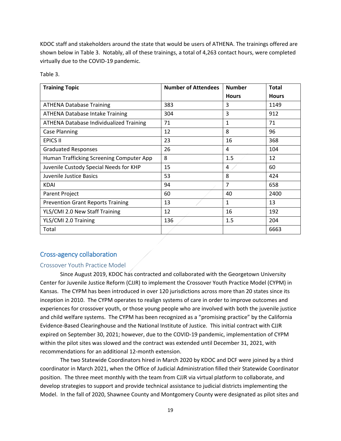KDOC staff and stakeholders around the state that would be users of ATHENA. The trainings offered are shown below in Table 3. Notably, all of these trainings, a total of 4,263 contact hours, were completed virtually due to the COVID-19 pandemic.

Table 3.

| <b>Training Topic</b>                          | <b>Number of Attendees</b> | <b>Number</b>  | <b>Total</b> |
|------------------------------------------------|----------------------------|----------------|--------------|
|                                                |                            | <b>Hours</b>   | <b>Hours</b> |
| <b>ATHENA Database Training</b>                | 383                        | 3              | 1149         |
| <b>ATHENA Database Intake Training</b>         | 304                        | 3              | 912          |
| <b>ATHENA Database Individualized Training</b> | 71                         | 1              | 71           |
| <b>Case Planning</b>                           | 12                         | 8              | 96           |
| <b>EPICS II</b>                                | 23                         | 16             | 368          |
| <b>Graduated Responses</b>                     | 26                         | 4              | 104          |
| Human Trafficking Screening Computer App       | 8                          | 1.5            | 12           |
| Juvenile Custody Special Needs for KHP         | 15                         | 4              | 60           |
| Juvenile Justice Basics                        | 53                         | 8              | 424          |
| <b>KDAI</b>                                    | 94                         | $\overline{7}$ | 658          |
| Parent Project                                 | 60                         | 40             | 2400         |
| <b>Prevention Grant Reports Training</b>       | 13                         | 1              | 13           |
| YLS/CMI 2.0 New Staff Training                 | 12                         | 16             | 192          |
| YLS/CMI 2.0 Training                           | 136                        | 1.5            | 204          |
| Total                                          |                            |                | 6663         |

#### <span id="page-19-0"></span>Cross-agency collaboration

#### <span id="page-19-1"></span>Crossover Youth Practice Model

Since August 2019, KDOC has contracted and collaborated with the Georgetown University Center for Juvenile Justice Reform (CJJR) to implement the Crossover Youth Practice Model (CYPM) in Kansas. The CYPM has been introduced in over 120 jurisdictions across more than 20 states since its inception in 2010. The CYPM operates to realign systems of care in order to improve outcomes and experiences for crossover youth, or those young people who are involved with both the juvenile justice and child welfare systems. The CYPM has been recognized as a "promising practice" by the California Evidence-Based Clearinghouse and the National Institute of Justice. This initial contract with CJJR expired on September 30, 2021; however, due to the COVID-19 pandemic, implementation of CYPM within the pilot sites was slowed and the contract was extended until December 31, 2021, with recommendations for an additional 12-month extension.

The two Statewide Coordinators hired in March 2020 by KDOC and DCF were joined by a third coordinator in March 2021, when the Office of Judicial Administration filled their Statewide Coordinator position. The three meet monthly with the team from CJJR via virtual platform to collaborate, and develop strategies to support and provide technical assistance to judicial districts implementing the Model. In the fall of 2020, Shawnee County and Montgomery County were designated as pilot sites and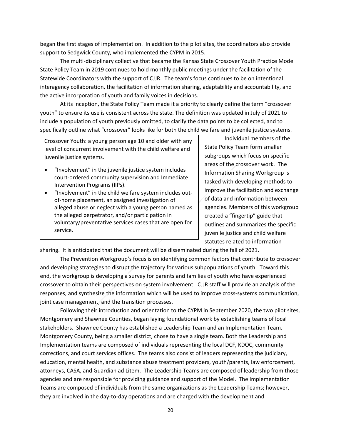began the first stages of implementation. In addition to the pilot sites, the coordinators also provide support to Sedgwick County, who implemented the CYPM in 2015.

The multi-disciplinary collective that became the Kansas State Crossover Youth Practice Model State Policy Team in 2019 continues to hold monthly public meetings under the facilitation of the Statewide Coordinators with the support of CJJR. The team's focus continues to be on intentional interagency collaboration, the facilitation of information sharing, adaptability and accountability, and the active incorporation of youth and family voices in decisions.

At its inception, the State Policy Team made it a priority to clearly define the term "crossover youth" to ensure its use is consistent across the state. The definition was updated in July of 2021 to include a population of youth previously omitted, to clarify the data points to be collected, and to specifically outline what "crossover" looks like for both the child welfare and juvenile justice systems.

Crossover Youth: a young person age 10 and older with any level of concurrent involvement with the child welfare and juvenile justice systems.

- "Involvement" in the juvenile justice system includes court-ordered community supervision and Immediate Intervention Programs (IIPs).
- "Involvement" in the child welfare system includes outof-home placement, an assigned investigation of alleged abuse or neglect with a young person named as the alleged perpetrator, and/or participation in voluntary/preventative services cases that are open for service.

Individual members of the State Policy Team form smaller subgroups which focus on specific areas of the crossover work. The Information Sharing Workgroup is tasked with developing methods to improve the facilitation and exchange of data and information between agencies. Members of this workgroup created a "fingertip" guide that outlines and summarizes the specific juvenile justice and child welfare statutes related to information

sharing. It is anticipated that the document will be disseminated during the fall of 2021.

The Prevention Workgroup's focus is on identifying common factors that contribute to crossover and developing strategies to disrupt the trajectory for various subpopulations of youth. Toward this end, the workgroup is developing a survey for parents and families of youth who have experienced crossover to obtain their perspectives on system involvement. CJJR staff will provide an analysis of the responses, and synthesize the information which will be used to improve cross-systems communication, joint case management, and the transition processes.

Following their introduction and orientation to the CYPM in September 2020, the two pilot sites, Montgomery and Shawnee Counties, began laying foundational work by establishing teams of local stakeholders. Shawnee County has established a Leadership Team and an Implementation Team. Montgomery County, being a smaller district, chose to have a single team. Both the Leadership and Implementation teams are composed of individuals representing the local DCF, KDOC, community corrections, and court services offices. The teams also consist of leaders representing the judiciary, education, mental health, and substance abuse treatment providers, youth/parents, law enforcement, attorneys, CASA, and Guardian ad Litem. The Leadership Teams are composed of leadership from those agencies and are responsible for providing guidance and support of the Model. The Implementation Teams are composed of individuals from the same organizations as the Leadership Teams; however, they are involved in the day-to-day operations and are charged with the development and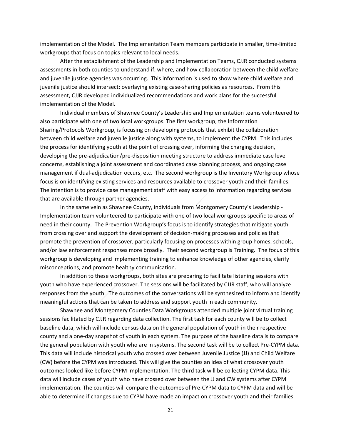implementation of the Model. The Implementation Team members participate in smaller, time-limited workgroups that focus on topics relevant to local needs.

After the establishment of the Leadership and Implementation Teams, CJJR conducted systems assessments in both counties to understand if, where, and how collaboration between the child welfare and juvenile justice agencies was occurring. This information is used to show where child welfare and juvenile justice should intersect; overlaying existing case-sharing policies as resources. From this assessment, CJJR developed individualized recommendations and work plans for the successful implementation of the Model.

Individual members of Shawnee County's Leadership and Implementation teams volunteered to also participate with one of two local workgroups. The first workgroup, the Information Sharing/Protocols Workgroup, is focusing on developing protocols that exhibit the collaboration between child welfare and juvenile justice along with systems, to implement the CYPM. This includes the process for identifying youth at the point of crossing over, informing the charging decision, developing the pre-adjudication/pre-disposition meeting structure to address immediate case level concerns, establishing a joint assessment and coordinated case planning process, and ongoing case management if dual-adjudication occurs, etc. The second workgroup is the Inventory Workgroup whose focus is on identifying existing services and resources available to crossover youth and their families. The intention is to provide case management staff with easy access to information regarding services that are available through partner agencies.

In the same vein as Shawnee County, individuals from Montgomery County's Leadership - Implementation team volunteered to participate with one of two local workgroups specific to areas of need in their county. The Prevention Workgroup's focus is to identify strategies that mitigate youth from crossing over and support the development of decision-making processes and policies that promote the prevention of crossover, particularly focusing on processes within group homes, schools, and/or law enforcement responses more broadly. Their second workgroup is Training. The focus of this workgroup is developing and implementing training to enhance knowledge of other agencies, clarify misconceptions, and promote healthy communication.

In addition to these workgroups, both sites are preparing to facilitate listening sessions with youth who have experienced crossover. The sessions will be facilitated by CJJR staff, who will analyze responses from the youth. The outcomes of the conversations will be synthesized to inform and identify meaningful actions that can be taken to address and support youth in each community.

Shawnee and Montgomery Counties Data Workgroups attended multiple joint virtual training sessions facilitated by CJJR regarding data collection. The first task for each county will be to collect baseline data, which will include census data on the general population of youth in their respective county and a one-day snapshot of youth in each system. The purpose of the baseline data is to compare the general population with youth who are in systems. The second task will be to collect Pre-CYPM data. This data will include historical youth who crossed over between Juvenile Justice (JJ) and Child Welfare (CW) before the CYPM was introduced. This will give the counties an idea of what crossover youth outcomes looked like before CYPM implementation. The third task will be collecting CYPM data. This data will include cases of youth who have crossed over between the JJ and CW systems after CYPM implementation. The counties will compare the outcomes of Pre-CYPM data to CYPM data and will be able to determine if changes due to CYPM have made an impact on crossover youth and their families.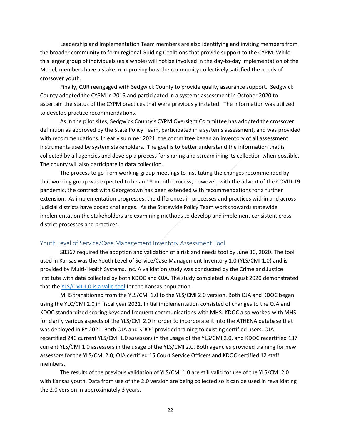Leadership and Implementation Team members are also identifying and inviting members from the broader community to form regional Guiding Coalitions that provide support to the CYPM. While this larger group of individuals (as a whole) will not be involved in the day-to-day implementation of the Model, members have a stake in improving how the community collectively satisfied the needs of crossover youth.

Finally, CJJR reengaged with Sedgwick County to provide quality assurance support. Sedgwick County adopted the CYPM in 2015 and participated in a systems assessment in October 2020 to ascertain the status of the CYPM practices that were previously instated. The information was utilized to develop practice recommendations.

As in the pilot sites, Sedgwick County's CYPM Oversight Committee has adopted the crossover definition as approved by the State Policy Team, participated in a systems assessment, and was provided with recommendations. In early summer 2021, the committee began an inventory of all assessment instruments used by system stakeholders. The goal is to better understand the information that is collected by all agencies and develop a process for sharing and streamlining its collection when possible. The county will also participate in data collection.

The process to go from working group meetings to instituting the changes recommended by that working group was expected to be an 18-month process; however, with the advent of the COVID-19 pandemic, the contract with Georgetown has been extended with recommendations for a further extension. As implementation progresses, the differences in processes and practices within and across judicial districts have posed challenges. As the Statewide Policy Team works towards statewide implementation the stakeholders are examining methods to develop and implement consistent crossdistrict processes and practices.

#### <span id="page-22-0"></span>Youth Level of Service/Case Management Inventory Assessment Tool

SB367 required the adoption and validation of a risk and needs tool by June 30, 2020. The tool used in Kansas was the Youth Level of Service/Case Management Inventory 1.0 (YLS/CMI 1.0) and is provided by Multi-Health Systems, Inc. A validation study was conducted by the Crime and Justice Institute with data collected by both KDOC and OJA. The study completed in August 2020 demonstrated that the [YLS/CMI 1.0 is a valid tool](https://www.doc.ks.gov/juvenile-services/committee/yls-cmi-validation-study/KS%20YLS%20Validation%20Final.pdf/view) for the Kansas population.

MHS transitioned from the YLS/CMI 1.0 to the YLS/CMI 2.0 version. Both OJA and KDOC began using the YLC/CMI 2.0 in fiscal year 2021. Initial implementation consisted of changes to the OJA and KDOC standardized scoring keys and frequent communications with MHS. KDOC also worked with MHS for clarify various aspects of the YLS/CMI 2.0 in order to incorporate it into the ATHENA database that was deployed in FY 2021. Both OJA and KDOC provided training to existing certified users. OJA recertified 240 current YLS/CMI 1.0 assessors in the usage of the YLS/CMI 2.0, and KDOC recertified 137 current YLS/CMI 1.0 assessors in the usage of the YLS/CMI 2.0. Both agencies provided training for new assessors for the YLS/CMI 2.0; OJA certified 15 Court Service Officers and KDOC certified 12 staff members.

The results of the previous validation of YLS/CMI 1.0 are still valid for use of the YLS/CMI 2.0 with Kansas youth. Data from use of the 2.0 version are being collected so it can be used in revalidating the 2.0 version in approximately 3 years.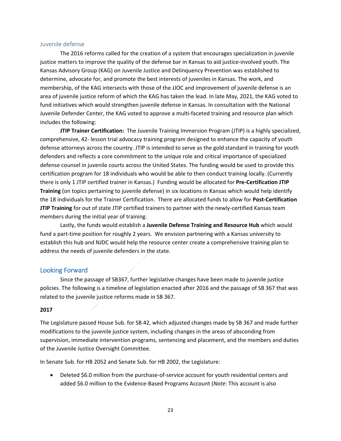#### <span id="page-23-0"></span>Juvenile defense

The 2016 reforms called for the creation of a system that encourages specialization in juvenile justice matters to improve the quality of the defense bar in Kansas to aid justice-involved youth. The Kansas Advisory Group (KAG) on Juvenile Justice and Delinquency Prevention was established to determine, advocate for, and promote the best interests of juveniles in Kansas. The work, and membership, of the KAG intersects with those of the JJOC and improvement of juvenile defense is an area of juvenile justice reform of which the KAG has taken the lead. In late May, 2021, the KAG voted to fund initiatives which would strengthen juvenile defense in Kansas. In consultation with the National Juvenile Defender Center, the KAG voted to approve a multi-faceted training and resource plan which includes the following:

**JTIP Trainer Certification:** The Juvenile Training Immersion Program (JTIP) is a highly specialized, comprehensive, 42- lesson trial advocacy training program designed to enhance the capacity of youth defense attorneys across the country. JTIP is intended to serve as the gold standard in training for youth defenders and reflects a core commitment to the unique role and critical importance of specialized defense counsel in juvenile courts across the United States. The funding would be used to provide this certification program for 18 individuals who would be able to then conduct training locally. (Currently there is only 1 JTIP certified trainer in Kansas.) Funding would be allocated for **Pre-Certification JTIP Training** (on topics pertaining to juvenile defense) in six locations in Kansas which would help identify the 18 individuals for the Trainer Certification. There are allocated funds to allow for **Post-Certification JTIP Training** for out of state JTIP certified trainers to partner with the newly-certified Kansas team members during the initial year of training.

Lastly, the funds would establish a **Juvenile Defense Training and Resource Hub** which would fund a part-time position for roughly 2 years. We envision partnering with a Kansas university to establish this hub and NJDC would help the resource center create a comprehensive training plan to address the needs of juvenile defenders in the state.

#### <span id="page-23-1"></span>Looking Forward

Since the passage of SB367, further legislative changes have been made to juvenile justice policies. The following is a timeline of legislation enacted after 2016 and the passage of SB 367 that was related to the juvenile justice reforms made in SB 367.

#### **2017**

The Legislature passed House Sub. for SB 42, which adjusted changes made by SB 367 and made further modifications to the juvenile justice system, including changes in the areas of absconding from supervision, immediate intervention programs, sentencing and placement, and the members and duties of the Juvenile Justice Oversight Committee.

In Senate Sub. for HB 2052 and Senate Sub. for HB 2002, the Legislature:

• Deleted \$6.0 million from the purchase-of-service account for youth residential centers and added \$6.0 million to the Evidence-Based Programs Account (*Note*: This account is also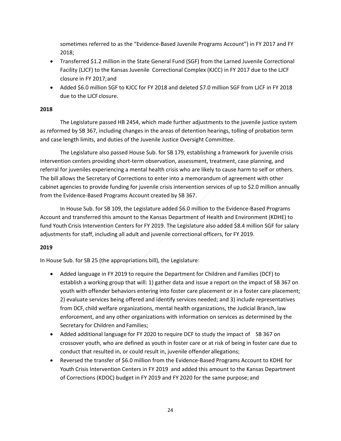sometimes referred to as the "Evidence-Based Juvenile Programs Account") in FY 2017 and FY 2018;

- Transferred \$1.2 million in the State General Fund (SGF) from the Larned Juvenile Correctional Facility (LJCF) to the Kansas Juvenile Correctional Complex (KJCC) in FY 2017 due to the LJCF closure in FY 2017;and
- Added \$6.0 million SGF to KJCC for FY 2018 and deleted \$7.0 million SGF from LJCF in FY 2018 due to the LJCF closure.

#### **2018**

The Legislature passed HB 2454, which made further adjustments to the juvenile justice system as reformed by SB 367, including changes in the areas of detention hearings, tolling of probation term and case length limits, and duties of the Juvenile Justice Oversight Committee.

The Legislature also passed House Sub. for SB 179, establishing a framework for juvenile crisis intervention centers providing short-term observation, assessment, treatment, case planning, and referral for juveniles experiencing a mental health crisis who are likely to cause harm to self or others. The bill allows the Secretary of Corrections to enter into a memorandum of agreement with other cabinet agencies to provide funding for juvenile crisis intervention services of up to \$2.0 million annually from the Evidence-Based Programs Account created by SB 367.

In House Sub. for SB 109, the Legislature added \$6.0 million to the Evidence-Based Programs Account and transferred this amount to the Kansas Department of Health and Environment (KDHE) to fund Youth Crisis Intervention Centers for FY 2019. The Legislature also added \$8.4 million SGF for salary adjustments for staff, including all adult and juvenile correctional officers, for FY 2019.

#### **2019**

In House Sub. for SB 25 (the appropriations bill), the Legislature:

- Added language in FY 2019 to require the Department for Children and Families (DCF) to establish a working group that will: 1) gather data and issue a report on the impact of SB 367 on youth with offender behaviors entering into foster care placement or in a foster care placement; 2) evaluate services being offered and identify services needed; and 3) include representatives from DCF, child welfare organizations, mental health organizations, the Judicial Branch, law enforcement, and any other organizations with information on services as determined by the Secretary for Children and Families;
- Added additional language for FY 2020 to require DCF to study the impact of SB 367 on crossover youth, who are defined as youth in foster care or at risk of being in foster care due to conduct that resulted in, or could result in, juvenile offender allegations;
- Reversed the transfer of \$6.0 million from the Evidence-Based Programs Account to KDHE for Youth Crisis Intervention Centers in FY 2019 and added this amount to the Kansas Department of Corrections (KDOC) budget in FY 2019 and FY 2020 for the same purpose; and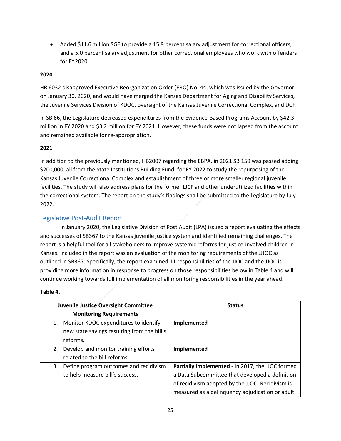• Added \$11.6 million SGF to provide a 15.9 percent salary adjustment for correctional officers, and a 5.0 percent salary adjustment for other correctional employees who work with offenders for FY2020.

#### **2020**

HR 6032 disapproved Executive Reorganization Order (ERO) No. 44, which was issued by the Governor on January 30, 2020, and would have merged the Kansas Department for Aging and Disability Services, the Juvenile Services Division of KDOC, oversight of the Kansas Juvenile Correctional Complex, and DCF.

In SB 66, the Legislature decreased expenditures from the Evidence-Based Programs Account by \$42.3 million in FY 2020 and \$3.2 million for FY 2021. However, these funds were not lapsed from the account and remained available for re-appropriation.

#### **2021**

In addition to the previously mentioned, HB2007 regarding the EBPA, in 2021 SB 159 was passed adding \$200,000, all from the State Institutions Building Fund, for FY 2022 to study the repurposing of the Kansas Juvenile Correctional Complex and establishment of three or more smaller regional juvenile facilities. The study will also address plans for the former LJCF and other underutilized facilities within the correctional system. The report on the study's findings shall be submitted to the Legislature by July 2022.

#### <span id="page-25-0"></span>Legislative Post-Audit Report

In January 2020, the Legislative Division of Post Audit (LPA) issued a report evaluating the effects and successes of SB367 to the Kansas juvenile justice system and identified remaining challenges. The report is a helpful tool for all stakeholders to improve systemic reforms for justice-involved children in Kansas. Included in the report was an evaluation of the monitoring requirements of the JJJOC as outlined in SB367. Specifically, the report examined 11 responsibilities of the JJOC and the JJOC is providing more information in response to progress on those responsibilities below in Table 4 and will continue working towards full implementation of all monitoring responsibilities in the year ahead.

#### **Table 4.**

|    | <b>Juvenile Justice Oversight Committee</b> | <b>Status</b>                                    |
|----|---------------------------------------------|--------------------------------------------------|
|    | <b>Monitoring Requirements</b>              |                                                  |
| 1. | Monitor KDOC expenditures to identify       | Implemented                                      |
|    | new state savings resulting from the bill's |                                                  |
|    | reforms.                                    |                                                  |
| 2. | Develop and monitor training efforts        | Implemented                                      |
|    | related to the bill reforms                 |                                                  |
| 3. | Define program outcomes and recidivism      | Partially implemented - In 2017, the JJOC formed |
|    | to help measure bill's success.             | a Data Subcommittee that developed a definition  |
|    |                                             | of recidivism adopted by the JJOC: Recidivism is |
|    |                                             | measured as a delinquency adjudication or adult  |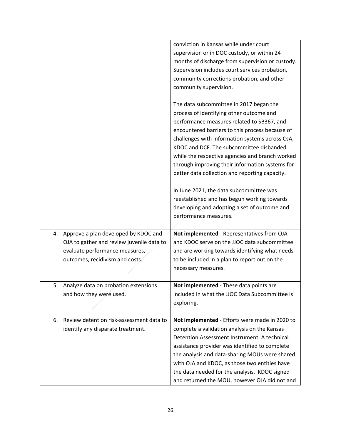|                                                | conviction in Kansas while under court           |
|------------------------------------------------|--------------------------------------------------|
|                                                | supervision or in DOC custody, or within 24      |
|                                                | months of discharge from supervision or custody. |
|                                                | Supervision includes court services probation,   |
|                                                | community corrections probation, and other       |
|                                                | community supervision.                           |
|                                                |                                                  |
|                                                | The data subcommittee in 2017 began the          |
|                                                | process of identifying other outcome and         |
|                                                | performance measures related to SB367, and       |
|                                                | encountered barriers to this process because of  |
|                                                | challenges with information systems across OJA,  |
|                                                | KDOC and DCF. The subcommittee disbanded         |
|                                                | while the respective agencies and branch worked  |
|                                                | through improving their information systems for  |
|                                                | better data collection and reporting capacity.   |
|                                                |                                                  |
|                                                | In June 2021, the data subcommittee was          |
|                                                | reestablished and has begun working towards      |
|                                                | developing and adopting a set of outcome and     |
|                                                | performance measures.                            |
|                                                |                                                  |
| Approve a plan developed by KDOC and<br>4.     | Not implemented - Representatives from OJA       |
| OJA to gather and review juvenile data to      | and KDOC serve on the JJOC data subcommittee     |
| evaluate performance measures,                 | and are working towards identifying what needs   |
| outcomes, recidivism and costs.                | to be included in a plan to report out on the    |
|                                                | necessary measures.                              |
|                                                |                                                  |
| 5.<br>Analyze data on probation extensions     | Not implemented - These data points are          |
| and how they were used.                        | included in what the JJOC Data Subcommittee is   |
|                                                | exploring.                                       |
|                                                |                                                  |
| Review detention risk-assessment data to<br>6. | Not implemented - Efforts were made in 2020 to   |
| identify any disparate treatment.              | complete a validation analysis on the Kansas     |
|                                                | Detention Assessment Instrument. A technical     |
|                                                | assistance provider was identified to complete   |
|                                                | the analysis and data-sharing MOUs were shared   |
|                                                | with OJA and KDOC, as those two entities have    |
|                                                | the data needed for the analysis. KDOC signed    |
|                                                | and returned the MOU, however OJA did not and    |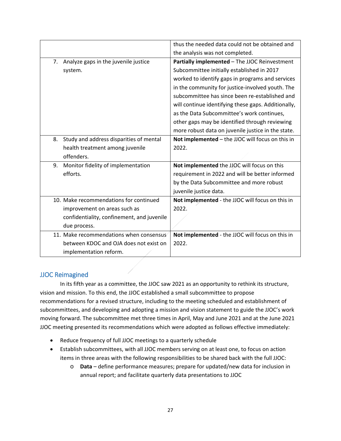|                                               | thus the needed data could not be obtained and      |
|-----------------------------------------------|-----------------------------------------------------|
|                                               | the analysis was not completed.                     |
| Analyze gaps in the juvenile justice<br>7.    | Partially implemented - The JJOC Reinvestment       |
| system.                                       | Subcommittee initially established in 2017          |
|                                               | worked to identify gaps in programs and services    |
|                                               | in the community for justice-involved youth. The    |
|                                               | subcommittee has since been re-established and      |
|                                               | will continue identifying these gaps. Additionally, |
|                                               | as the Data Subcommittee's work continues,          |
|                                               | other gaps may be identified through reviewing      |
|                                               | more robust data on juvenile justice in the state.  |
| Study and address disparities of mental<br>8. | Not implemented - the JJOC will focus on this in    |
| health treatment among juvenile               | 2022.                                               |
| offenders.                                    |                                                     |
| 9.<br>Monitor fidelity of implementation      | Not implemented the JJOC will focus on this         |
| efforts.                                      | requirement in 2022 and will be better informed     |
|                                               | by the Data Subcommittee and more robust            |
|                                               | juvenile justice data.                              |
| 10. Make recommendations for continued        | Not implemented - the JJOC will focus on this in    |
| improvement on areas such as                  | 2022.                                               |
| confidentiality, confinement, and juvenile    |                                                     |
| due process.                                  |                                                     |
| 11. Make recommendations when consensus       | Not implemented - the JJOC will focus on this in    |
| between KDOC and OJA does not exist on        | 2022.                                               |
| implementation reform.                        |                                                     |

## <span id="page-27-0"></span>JJOC Reimagined

In its fifth year as a committee, the JJOC saw 2021 as an opportunity to rethink its structure, vision and mission. To this end, the JJOC established a small subcommittee to propose recommendations for a revised structure, including to the meeting scheduled and establishment of subcommittees, and developing and adopting a mission and vision statement to guide the JJOC's work moving forward. The subcommittee met three times in April, May and June 2021 and at the June 2021 JJOC meeting presented its recommendations which were adopted as follows effective immediately:

- Reduce frequency of full JJOC meetings to a quarterly schedule
- Establish subcommittees, with all JJOC members serving on at least one, to focus on action items in three areas with the following responsibilities to be shared back with the full JJOC:
	- o **Data** define performance measures; prepare for updated/new data for inclusion in annual report; and facilitate quarterly data presentations to JJOC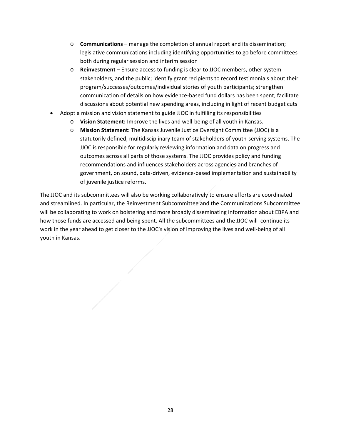- o **Communications** manage the completion of annual report and its dissemination; legislative communications including identifying opportunities to go before committees both during regular session and interim session
- o **Reinvestment** Ensure access to funding is clear to JJOC members, other system stakeholders, and the public; identify grant recipients to record testimonials about their program/successes/outcomes/individual stories of youth participants; strengthen communication of details on how evidence-based fund dollars has been spent; facilitate discussions about potential new spending areas, including in light of recent budget cuts
- Adopt a mission and vision statement to guide JJOC in fulfilling its responsibilities
	- o **Vision Statement:** Improve the lives and well-being of all youth in Kansas.
	- o **Mission Statement:** The Kansas Juvenile Justice Oversight Committee (JJOC) is a statutorily defined, multidisciplinary team of stakeholders of youth-serving systems. The JJOC is responsible for regularly reviewing information and data on progress and outcomes across all parts of those systems. The JJOC provides policy and funding recommendations and influences stakeholders across agencies and branches of government, on sound, data-driven, evidence-based implementation and sustainability of juvenile justice reforms.

The JJOC and its subcommittees will also be working collaboratively to ensure efforts are coordinated and streamlined. In particular, the Reinvestment Subcommittee and the Communications Subcommittee will be collaborating to work on bolstering and more broadly disseminating information about EBPA and how those funds are accessed and being spent. All the subcommittees and the JJOC will continue its work in the year ahead to get closer to the JJOC's vision of improving the lives and well-being of all youth in Kansas.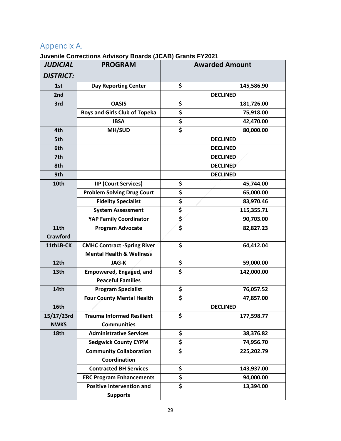# <span id="page-29-0"></span>Appendix A.

## **Juvenile Corrections Advisory Boards (JCAB) Grants FY2021**

| <b>JUDICIAL</b>  | <b>PROGRAM</b>                       | <b>Awarded Amount</b>           |                 |
|------------------|--------------------------------------|---------------------------------|-----------------|
| <b>DISTRICT:</b> |                                      |                                 |                 |
| 1st              | <b>Day Reporting Center</b>          | \$                              | 145,586.90      |
| 2nd              |                                      |                                 | <b>DECLINED</b> |
| 3rd              | <b>OASIS</b>                         | \$                              | 181,726.00      |
|                  | <b>Boys and Girls Club of Topeka</b> | \$                              | 75,918.00       |
|                  | <b>IBSA</b>                          | \$                              | 42,470.00       |
| 4th              | MH/SUD                               | $\overline{\boldsymbol{\zeta}}$ | 80,000.00       |
| 5th              |                                      |                                 | <b>DECLINED</b> |
| 6th              |                                      |                                 | <b>DECLINED</b> |
| 7th              |                                      |                                 | <b>DECLINED</b> |
| 8th              |                                      |                                 | <b>DECLINED</b> |
| 9th              |                                      |                                 | <b>DECLINED</b> |
| 10th             | <b>IIP (Court Services)</b>          | \$                              | 45,744.00       |
|                  | <b>Problem Solving Drug Court</b>    | \$                              | 65,000.00       |
|                  | <b>Fidelity Specialist</b>           | \$                              | 83,970.46       |
|                  | <b>System Assessment</b>             | \$                              | 115,355.71      |
|                  | <b>YAP Family Coordinator</b>        | \$                              | 90,703.00       |
| 11th             | <b>Program Advocate</b>              | $\overline{\boldsymbol{\zeta}}$ | 82,827.23       |
| <b>Crawford</b>  |                                      |                                 |                 |
| 11thLB-CK        | <b>CMHC Contract -Spring River</b>   | \$                              | 64,412.04       |
|                  | <b>Mental Health &amp; Wellness</b>  |                                 |                 |
| 12th             | <b>JAG-K</b>                         | \$                              | 59,000.00       |
| 13th             | <b>Empowered, Engaged, and</b>       | \$                              | 142,000.00      |
|                  | <b>Peaceful Families</b>             |                                 |                 |
| 14th             | <b>Program Specialist</b>            | \$                              | 76,057.52       |
|                  | <b>Four County Mental Health</b>     | \$                              | 47,857.00       |
| 16th             |                                      |                                 | <b>DECLINED</b> |
| 15/17/23rd       | <b>Trauma Informed Resilient</b>     | \$                              | 177,598.77      |
| <b>NWKS</b>      | <b>Communities</b>                   |                                 |                 |
| 18th             | <b>Administrative Services</b>       | \$                              | 38,376.82       |
|                  | <b>Sedgwick County CYPM</b>          | \$                              | 74,956.70       |
|                  | <b>Community Collaboration</b>       | \$                              | 225,202.79      |
|                  | Coordination                         |                                 |                 |
|                  | <b>Contracted BH Services</b>        | \$                              | 143,937.00      |
|                  | <b>ERC Program Enhancements</b>      | \$                              | 94,000.00       |
|                  | <b>Positive Intervention and</b>     | \$                              | 13,394.00       |
|                  | <b>Supports</b>                      |                                 |                 |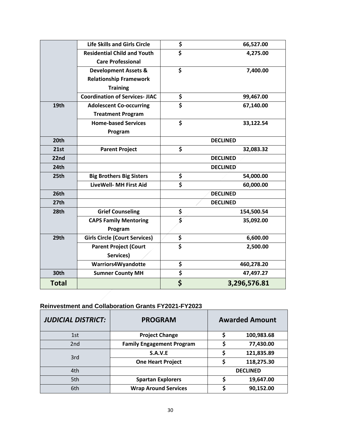|                  | <b>Life Skills and Girls Circle</b>   | \$                              | 66,527.00       |
|------------------|---------------------------------------|---------------------------------|-----------------|
|                  | <b>Residential Child and Youth</b>    | $\overline{\boldsymbol{\zeta}}$ | 4,275.00        |
|                  | <b>Care Professional</b>              |                                 |                 |
|                  | <b>Development Assets &amp;</b>       | \$                              | 7,400.00        |
|                  | <b>Relationship Framework</b>         |                                 |                 |
|                  | <b>Training</b>                       |                                 |                 |
|                  | <b>Coordination of Services- JIAC</b> | \$                              | 99,467.00       |
| 19th             | <b>Adolescent Co-occurring</b>        | \$                              | 67,140.00       |
|                  | <b>Treatment Program</b>              |                                 |                 |
|                  | <b>Home-based Services</b>            | \$                              | 33,122.54       |
|                  | Program                               |                                 |                 |
| 20th             |                                       |                                 | <b>DECLINED</b> |
| 21st             | <b>Parent Project</b>                 | \$                              | 32,083.32       |
| 22nd             |                                       | <b>DECLINED</b>                 |                 |
| 24th             |                                       | <b>DECLINED</b>                 |                 |
| 25th             | <b>Big Brothers Big Sisters</b>       | \$                              | 54,000.00       |
|                  | <b>LiveWell- MH First Aid</b>         | \$                              | 60,000.00       |
| 26 <sub>th</sub> |                                       |                                 | <b>DECLINED</b> |
| 27 <sub>th</sub> |                                       | <b>DECLINED</b>                 |                 |
| 28th             | <b>Grief Counseling</b>               | \$                              | 154,500.54      |
|                  | <b>CAPS Family Mentoring</b>          | $\overline{\boldsymbol{s}}$     | 35,092.00       |
|                  | Program                               |                                 |                 |
| 29th             | <b>Girls Circle (Court Services)</b>  | \$                              | 6,600.00        |
|                  | <b>Parent Project (Court</b>          | $\overline{\boldsymbol{\zeta}}$ | 2,500.00        |
|                  | Services)                             |                                 |                 |
|                  | Warriors4Wyandotte                    | \$                              | 460,278.20      |
| 30th             | <b>Sumner County MH</b>               | \$                              | 47,497.27       |
| Total            |                                       | \$                              | 3,296,576.81    |

# **Reinvestment and Collaboration Grants FY2021-FY2023**

| <b>JUDICIAL DISTRICT:</b> | <b>PROGRAM</b>                   | <b>Awarded Amount</b> |            |
|---------------------------|----------------------------------|-----------------------|------------|
| 1st                       | <b>Project Change</b>            | c                     | 100,983.68 |
| 2nd                       | <b>Family Engagement Program</b> | \$                    | 77,430.00  |
| 3rd                       | S.A.V.E                          | Ş                     | 121,835.89 |
|                           | <b>One Heart Project</b>         |                       | 118,275.30 |
| 4th                       |                                  | <b>DECLINED</b>       |            |
| 5th                       | <b>Spartan Explorers</b>         |                       | 19,647.00  |
| 6th                       | <b>Wrap Around Services</b>      |                       | 90,152.00  |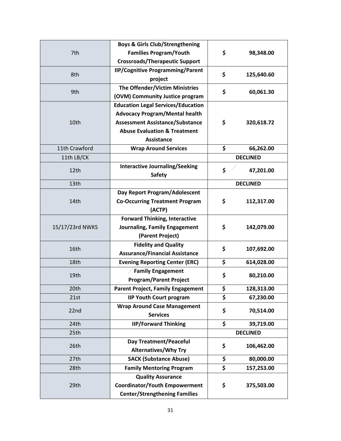| 7th             | <b>Boys &amp; Girls Club/Strengthening</b> |                 |                        |
|-----------------|--------------------------------------------|-----------------|------------------------|
|                 | <b>Families Program/Youth</b>              | \$              | 98,348.00              |
|                 | <b>Crossroads/Therapeutic Support</b>      |                 |                        |
| 8th             | <b>IIP/Cognitive Programming/Parent</b>    |                 |                        |
|                 | project                                    | \$              | 125,640.60             |
|                 | The Offender/Victim Ministries             |                 |                        |
| 9th             | (OVM) Community Justice program            | \$              | 60,061.30              |
|                 | <b>Education Legal Services/Education</b>  |                 |                        |
|                 | <b>Advocacy Program/Mental health</b>      |                 |                        |
| 10th            | <b>Assessment Assistance/Substance</b>     | \$              | 320,618.72             |
|                 | <b>Abuse Evaluation &amp; Treatment</b>    |                 |                        |
|                 | <b>Assistance</b>                          |                 |                        |
| 11th Crawford   | <b>Wrap Around Services</b>                | \$              | 66,262.00              |
| 11th LB/CK      |                                            |                 | <b>DECLINED</b>        |
|                 | <b>Interactive Journaling/Seeking</b>      |                 | 47,201.00              |
| 12th            | <b>Safety</b>                              | \$              |                        |
| 13th            |                                            | <b>DECLINED</b> |                        |
|                 | Day Report Program/Adolescent              |                 |                        |
| 14th            | <b>Co-Occurring Treatment Program</b>      | \$              | 112,317.00             |
|                 | (ACTP)                                     |                 |                        |
|                 | <b>Forward Thinking, Interactive</b>       |                 |                        |
| 15/17/23rd NWKS | Journaling, Family Engagement              | \$              | 142,079.00             |
|                 | (Parent Project)                           |                 |                        |
|                 | <b>Fidelity and Quality</b>                |                 |                        |
| 16th            | <b>Assurance/Financial Assistance</b>      | \$              | 107,692.00             |
| 18th            | <b>Evening Reporting Center (ERC)</b>      | \$              | 614,028.00             |
|                 | <b>Family Engagement</b>                   |                 |                        |
| 19th            | <b>Program/Parent Project</b>              | \$              | 80,210.00              |
| 20th            | Parent Project, Family Engagement          | \$              | 128,313.00             |
| 21st            | <b>IIP Youth Court program</b>             | \$              | 67,230.00              |
|                 | <b>Wrap Around Case Management</b>         |                 |                        |
| 22nd            | <b>Services</b>                            | \$              | 70,514.00<br>39,719.00 |
|                 | <b>IIP/Forward Thinking</b>                | \$              |                        |
| 24th            |                                            |                 |                        |
| 25th            |                                            |                 | <b>DECLINED</b>        |
| 26th            | <b>Day Treatment/Peaceful</b>              | \$              | 106,462.00             |
|                 | <b>Alternatives/Why Try</b>                |                 |                        |
| 27th            | <b>SACK (Substance Abuse)</b>              | \$              | 80,000.00              |
| 28th            | <b>Family Mentoring Program</b>            | \$              | 157,253.00             |
| 29th            | <b>Quality Assurance</b>                   |                 |                        |
|                 | <b>Coordinator/Youth Empowerment</b>       | \$              | 375,503.00             |
|                 | <b>Center/Strengthening Families</b>       |                 |                        |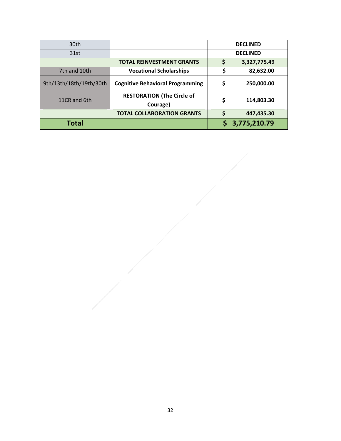| 30th                    |                                               | <b>DECLINED</b> |              |
|-------------------------|-----------------------------------------------|-----------------|--------------|
| 31st                    |                                               | <b>DECLINED</b> |              |
|                         | <b>TOTAL REINVESTMENT GRANTS</b>              | \$              | 3,327,775.49 |
| 7th and 10th            | <b>Vocational Scholarships</b>                | \$              | 82,632.00    |
| 9th/13th/18th/19th/30th | <b>Cognitive Behavioral Programming</b>       | \$              | 250,000.00   |
| 11CR and 6th            | <b>RESTORATION (The Circle of</b><br>Courage) | \$              | 114,803.30   |
|                         | <b>TOTAL COLLABORATION GRANTS</b>             | Ś               | 447,435.30   |
| <b>Total</b>            |                                               |                 | 3,775,210.79 |